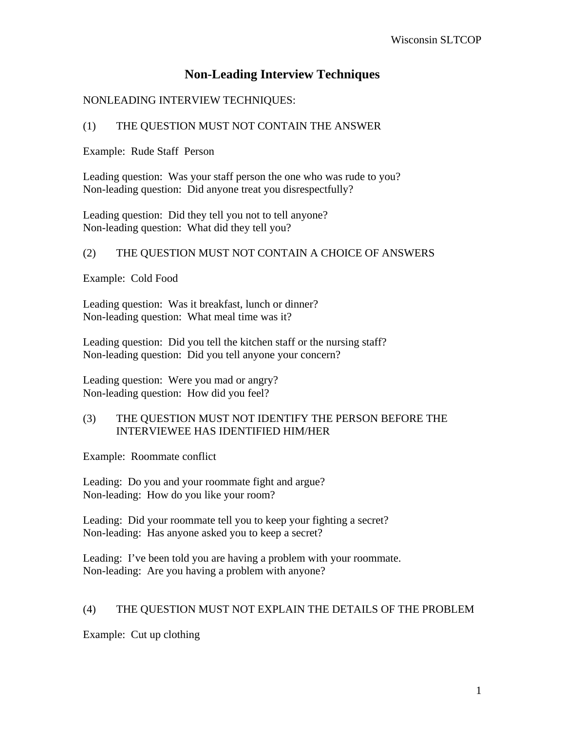# **Non-Leading Interview Techniques**

## NONLEADING INTERVIEW TECHNIQUES:

### (1) THE QUESTION MUST NOT CONTAIN THE ANSWER

Example: Rude Staff Person

Leading question: Was your staff person the one who was rude to you? Non-leading question: Did anyone treat you disrespectfully?

Leading question: Did they tell you not to tell anyone? Non-leading question: What did they tell you?

## (2) THE QUESTION MUST NOT CONTAIN A CHOICE OF ANSWERS

Example: Cold Food

Leading question: Was it breakfast, lunch or dinner? Non-leading question: What meal time was it?

Leading question: Did you tell the kitchen staff or the nursing staff? Non-leading question: Did you tell anyone your concern?

Leading question: Were you mad or angry? Non-leading question: How did you feel?

#### (3) THE QUESTION MUST NOT IDENTIFY THE PERSON BEFORE THE INTERVIEWEE HAS IDENTIFIED HIM/HER

Example: Roommate conflict

Leading: Do you and your roommate fight and argue? Non-leading: How do you like your room?

Leading: Did your roommate tell you to keep your fighting a secret? Non-leading: Has anyone asked you to keep a secret?

Leading: I've been told you are having a problem with your roommate. Non-leading: Are you having a problem with anyone?

#### (4) THE QUESTION MUST NOT EXPLAIN THE DETAILS OF THE PROBLEM

Example: Cut up clothing